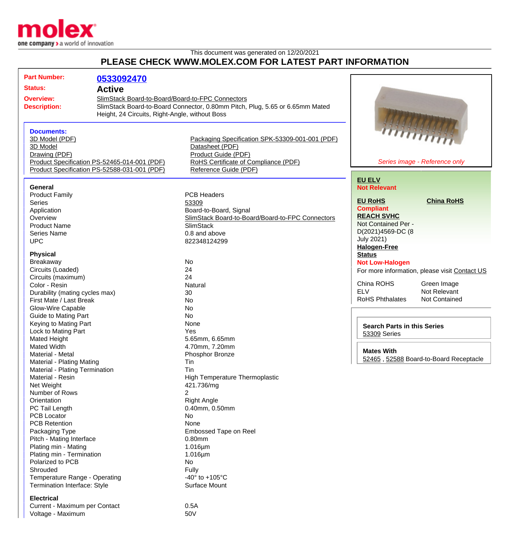

## This document was generated on 12/20/2021 **PLEASE CHECK WWW.MOLEX.COM FOR LATEST PART INFORMATION**

| <b>Part Number:</b>                                                                                                                                                                                                                                                                                                                                                                                                                                                                                                                                                                                | 0533092470 |                                                  |                                                |
|----------------------------------------------------------------------------------------------------------------------------------------------------------------------------------------------------------------------------------------------------------------------------------------------------------------------------------------------------------------------------------------------------------------------------------------------------------------------------------------------------------------------------------------------------------------------------------------------------|------------|--------------------------------------------------|------------------------------------------------|
| <b>Status:</b><br><b>Active</b><br>SlimStack Board-to-Board/Board-to-FPC Connectors<br><b>Overview:</b><br>SlimStack Board-to-Board Connector, 0.80mm Pitch, Plug, 5.65 or 6.65mm Mated<br><b>Description:</b><br>Height, 24 Circuits, Right-Angle, without Boss<br><b>Documents:</b><br>3D Model (PDF)<br>Packaging Specification SPK-53309-001-001 (PDF)<br>Datasheet (PDF)<br>3D Model<br>Drawing (PDF)<br>Product Guide (PDF)<br>RoHS Certificate of Compliance (PDF)<br>Product Specification PS-52465-014-001 (PDF)<br>Product Specification PS-52588-031-001 (PDF)<br>Reference Guide (PDF) |            |                                                  |                                                |
|                                                                                                                                                                                                                                                                                                                                                                                                                                                                                                                                                                                                    |            |                                                  |                                                |
|                                                                                                                                                                                                                                                                                                                                                                                                                                                                                                                                                                                                    |            |                                                  | himinin<br>Series image - Reference only       |
|                                                                                                                                                                                                                                                                                                                                                                                                                                                                                                                                                                                                    |            |                                                  |                                                |
|                                                                                                                                                                                                                                                                                                                                                                                                                                                                                                                                                                                                    |            |                                                  | <b>EU ELV</b>                                  |
| <b>General</b>                                                                                                                                                                                                                                                                                                                                                                                                                                                                                                                                                                                     |            |                                                  | <b>Not Relevant</b>                            |
| <b>Product Family</b><br><b>Series</b>                                                                                                                                                                                                                                                                                                                                                                                                                                                                                                                                                             |            | <b>PCB Headers</b><br>53309                      | <b>China RoHS</b><br><b>EU RoHS</b>            |
| Application                                                                                                                                                                                                                                                                                                                                                                                                                                                                                                                                                                                        |            | Board-to-Board, Signal                           | <b>Compliant</b>                               |
| Overview                                                                                                                                                                                                                                                                                                                                                                                                                                                                                                                                                                                           |            | SlimStack Board-to-Board/Board-to-FPC Connectors | <b>REACH SVHC</b>                              |
| <b>Product Name</b>                                                                                                                                                                                                                                                                                                                                                                                                                                                                                                                                                                                |            | <b>SlimStack</b>                                 | Not Contained Per -                            |
| Series Name                                                                                                                                                                                                                                                                                                                                                                                                                                                                                                                                                                                        |            | 0.8 and above                                    | D(2021)4569-DC (8                              |
| <b>UPC</b>                                                                                                                                                                                                                                                                                                                                                                                                                                                                                                                                                                                         |            | 822348124299                                     | <b>July 2021)</b>                              |
|                                                                                                                                                                                                                                                                                                                                                                                                                                                                                                                                                                                                    |            |                                                  | <b>Halogen-Free</b>                            |
| <b>Physical</b>                                                                                                                                                                                                                                                                                                                                                                                                                                                                                                                                                                                    |            |                                                  | <b>Status</b>                                  |
| Breakaway                                                                                                                                                                                                                                                                                                                                                                                                                                                                                                                                                                                          |            | <b>No</b>                                        | <b>Not Low-Halogen</b>                         |
| Circuits (Loaded)                                                                                                                                                                                                                                                                                                                                                                                                                                                                                                                                                                                  |            | 24                                               | For more information, please visit Contact US  |
| Circuits (maximum)                                                                                                                                                                                                                                                                                                                                                                                                                                                                                                                                                                                 |            | 24                                               |                                                |
| Color - Resin                                                                                                                                                                                                                                                                                                                                                                                                                                                                                                                                                                                      |            | Natural                                          | China ROHS<br>Green Image                      |
| Durability (mating cycles max)                                                                                                                                                                                                                                                                                                                                                                                                                                                                                                                                                                     |            | 30                                               | <b>ELV</b><br>Not Relevant                     |
| First Mate / Last Break                                                                                                                                                                                                                                                                                                                                                                                                                                                                                                                                                                            |            | <b>No</b>                                        | <b>RoHS Phthalates</b><br><b>Not Contained</b> |
| Glow-Wire Capable                                                                                                                                                                                                                                                                                                                                                                                                                                                                                                                                                                                  |            | <b>No</b>                                        |                                                |
| <b>Guide to Mating Part</b>                                                                                                                                                                                                                                                                                                                                                                                                                                                                                                                                                                        |            | <b>No</b>                                        |                                                |
| Keying to Mating Part                                                                                                                                                                                                                                                                                                                                                                                                                                                                                                                                                                              |            | None                                             | <b>Search Parts in this Series</b>             |
| Lock to Mating Part                                                                                                                                                                                                                                                                                                                                                                                                                                                                                                                                                                                |            | Yes                                              | 53309 Series                                   |
| <b>Mated Height</b>                                                                                                                                                                                                                                                                                                                                                                                                                                                                                                                                                                                |            | 5.65mm, 6.65mm                                   |                                                |
| <b>Mated Width</b>                                                                                                                                                                                                                                                                                                                                                                                                                                                                                                                                                                                 |            | 4.70mm, 7.20mm                                   | <b>Mates With</b>                              |
| Material - Metal                                                                                                                                                                                                                                                                                                                                                                                                                                                                                                                                                                                   |            | Phosphor Bronze                                  | 52465, 52588 Board-to-Board Receptacle         |
| <b>Material - Plating Mating</b>                                                                                                                                                                                                                                                                                                                                                                                                                                                                                                                                                                   |            | Tin                                              |                                                |
| Material - Plating Termination<br>Material - Resin                                                                                                                                                                                                                                                                                                                                                                                                                                                                                                                                                 |            | Tin                                              |                                                |
| Net Weight                                                                                                                                                                                                                                                                                                                                                                                                                                                                                                                                                                                         |            | High Temperature Thermoplastic<br>421.736/mg     |                                                |
| Number of Rows                                                                                                                                                                                                                                                                                                                                                                                                                                                                                                                                                                                     |            | 2                                                |                                                |
| Orientation                                                                                                                                                                                                                                                                                                                                                                                                                                                                                                                                                                                        |            | <b>Right Angle</b>                               |                                                |
| PC Tail Length                                                                                                                                                                                                                                                                                                                                                                                                                                                                                                                                                                                     |            | 0.40mm, 0.50mm                                   |                                                |
| <b>PCB Locator</b>                                                                                                                                                                                                                                                                                                                                                                                                                                                                                                                                                                                 |            | No                                               |                                                |
| <b>PCB Retention</b>                                                                                                                                                                                                                                                                                                                                                                                                                                                                                                                                                                               |            | None                                             |                                                |
| Packaging Type                                                                                                                                                                                                                                                                                                                                                                                                                                                                                                                                                                                     |            | Embossed Tape on Reel                            |                                                |
| Pitch - Mating Interface                                                                                                                                                                                                                                                                                                                                                                                                                                                                                                                                                                           |            | 0.80mm                                           |                                                |
| Plating min - Mating                                                                                                                                                                                                                                                                                                                                                                                                                                                                                                                                                                               |            | $1.016 \mu m$                                    |                                                |
| Plating min - Termination                                                                                                                                                                                                                                                                                                                                                                                                                                                                                                                                                                          |            | $1.016 \mu m$                                    |                                                |
| Polarized to PCB                                                                                                                                                                                                                                                                                                                                                                                                                                                                                                                                                                                   |            | No                                               |                                                |
| Shrouded                                                                                                                                                                                                                                                                                                                                                                                                                                                                                                                                                                                           |            | Fully                                            |                                                |
| Temperature Range - Operating                                                                                                                                                                                                                                                                                                                                                                                                                                                                                                                                                                      |            | -40 $\degree$ to +105 $\degree$ C                |                                                |
| Termination Interface: Style                                                                                                                                                                                                                                                                                                                                                                                                                                                                                                                                                                       |            | Surface Mount                                    |                                                |
| <b>Electrical</b>                                                                                                                                                                                                                                                                                                                                                                                                                                                                                                                                                                                  |            |                                                  |                                                |
| Currant Movimum nor Contact                                                                                                                                                                                                                                                                                                                                                                                                                                                                                                                                                                        |            | $\bigcap$ $\sqsubset$ $\land$                    |                                                |

Current - Maximum per Contact 0.5A Voltage - Maximum 60V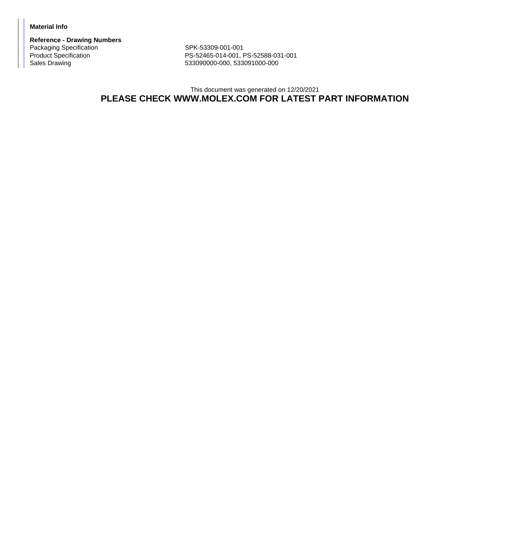## **Material Info**

**Reference - Drawing Numbers** Packaging Specification SPK-53309-001-001<br>Product Specification SPK-52465-014-001, F

Product Specification <br>
PS-52465-014-001, PS-52588-031-001<br>
Sales Drawing <br>
PS-53090000-000, 533091000-000 Sales Drawing 533090000-000, 533091000-000

## This document was generated on 12/20/2021 **PLEASE CHECK WWW.MOLEX.COM FOR LATEST PART INFORMATION**